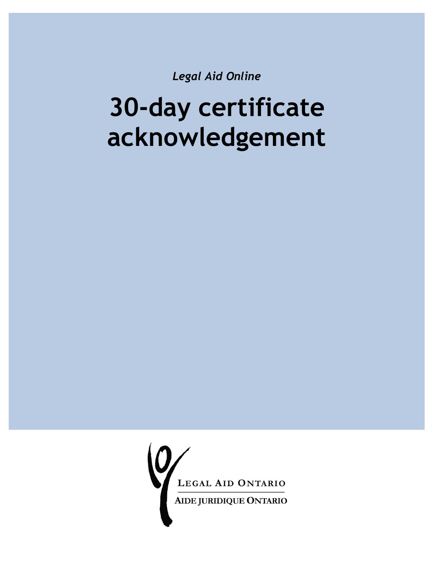*Legal Aid Online*

# **30-day certificate acknowledgement**

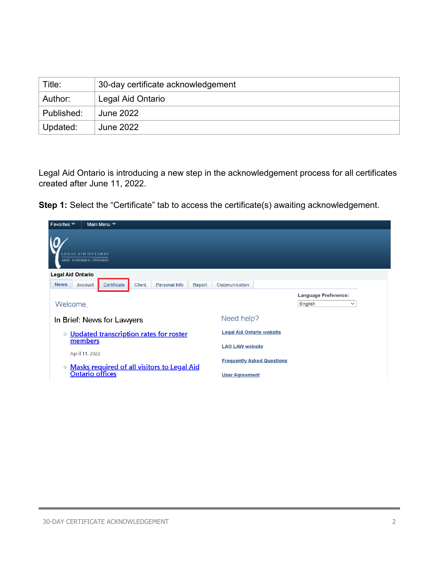| Title:     | 30-day certificate acknowledgement |
|------------|------------------------------------|
| Author:    | Legal Aid Ontario                  |
| Published: | June 2022                          |
| Updated:   | June 2022                          |

Legal Aid Ontario is introducing a new step in the acknowledgement process for all certificates created after June 11, 2022.

**Step 1:** Select the "Certificate" tab to access the certificate(s) awaiting acknowledgement.

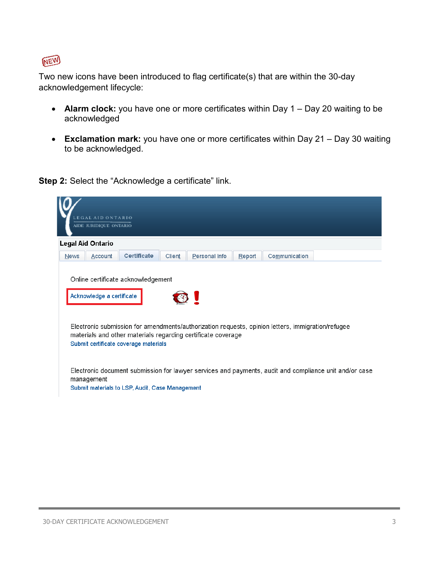

Two new icons have been introduced to flag certificate(s) that are within the 30-day acknowledgement lifecycle:

- **Alarm clock:** you have one or more certificates within Day 1 Day 20 waiting to be acknowledged
- **Exclamation mark:** you have one or more certificates within Day 21 Day 30 waiting to be acknowledged.

**Step 2:** Select the "Acknowledge a certificate" link.

|                   | EGAL AID ONTARIO          |                                                 |               |                                                              |        |                                                                                                   |                                                                                                        |
|-------------------|---------------------------|-------------------------------------------------|---------------|--------------------------------------------------------------|--------|---------------------------------------------------------------------------------------------------|--------------------------------------------------------------------------------------------------------|
|                   | AIDE JURIDIQUE ONTARIO    |                                                 |               |                                                              |        |                                                                                                   |                                                                                                        |
| Legal Aid Ontario |                           |                                                 |               |                                                              |        |                                                                                                   |                                                                                                        |
| News              | <b>Account</b>            | <b>Certificate</b>                              | <b>Client</b> | Personal Info                                                | Report | Communication                                                                                     |                                                                                                        |
|                   | Acknowledge a certificate | Online certificate acknowledgement              |               |                                                              |        |                                                                                                   |                                                                                                        |
|                   |                           | Submit certificate coverage materials           |               | materials and other materials regarding certificate coverage |        | Electronic submission for amendments/authorization requests, opinion letters, immigration/refugee |                                                                                                        |
| management        |                           |                                                 |               |                                                              |        |                                                                                                   | Electronic document submission for lawyer services and payments, audit and compliance unit and/or case |
|                   |                           | Submit materials to LSP, Audit, Case Management |               |                                                              |        |                                                                                                   |                                                                                                        |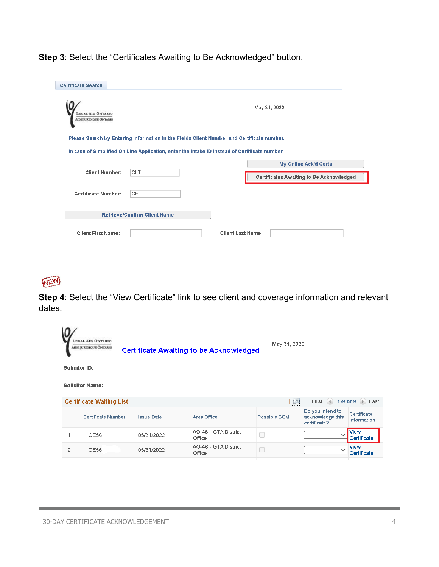**Step 3**: Select the "Certificates Awaiting to Be Acknowledged" button.

| <b>Certificate Search</b>                                 |                                     |                                                                                               |  |
|-----------------------------------------------------------|-------------------------------------|-----------------------------------------------------------------------------------------------|--|
| <b>LEGAL AID ONTARIO</b><br><b>AIDE JURIDIQUE ONTARIO</b> |                                     | May 31, 2022                                                                                  |  |
|                                                           |                                     | Please Search by Entering Information in the Fields Client Number and Certificate number.     |  |
|                                                           |                                     | In case of Simplified On Line Application, enter the Intake ID instead of Certificate number. |  |
|                                                           |                                     | <b>My Online Ack'd Certs</b>                                                                  |  |
| <b>Client Number:</b>                                     | <b>CLT</b>                          | <b>Certificates Awaiting to Be Acknowledged</b>                                               |  |
| <b>Certificate Number:</b>                                | <b>CE</b>                           |                                                                                               |  |
|                                                           | <b>Retrieve/Confirm Client Name</b> |                                                                                               |  |
| <b>Client First Name:</b>                                 |                                     | <b>Client Last Name:</b>                                                                      |  |



**Step 4**: Select the "View Certificate" link to see client and coverage information and relevant dates.

|                | <b>LEGAL AID ONTARIO</b><br>AIDE JURIDIQUE ONTARIO |                   | <b>Certificate Awaiting to be Acknowledged</b> | May 31, 2022        |                                                      |                            |  |
|----------------|----------------------------------------------------|-------------------|------------------------------------------------|---------------------|------------------------------------------------------|----------------------------|--|
|                | Solicitor ID:                                      |                   |                                                |                     |                                                      |                            |  |
|                | <b>Solicitor Name:</b>                             |                   |                                                |                     |                                                      |                            |  |
|                | <b>Certificate Waiting List</b>                    |                   |                                                | $\sqrt{2}$          | First $(4)$ 1-9 of 9 $(6)$ Last                      |                            |  |
|                | Certificate Number                                 | <b>Issue Date</b> | Area Office                                    | <b>Possible BCM</b> | Do you intend to<br>acknowledge this<br>certificate? | Certificate<br>Information |  |
| 1              | CE56                                               | 05/31/2022        | AO-46 - GTA District<br>Office                 |                     | $\checkmark$                                         | <b>View</b><br>Certificate |  |
| $\overline{2}$ | CE56                                               | 05/31/2022        | AO-46 - GTA District<br>Office                 |                     | $\checkmark$                                         | View<br>Certificate        |  |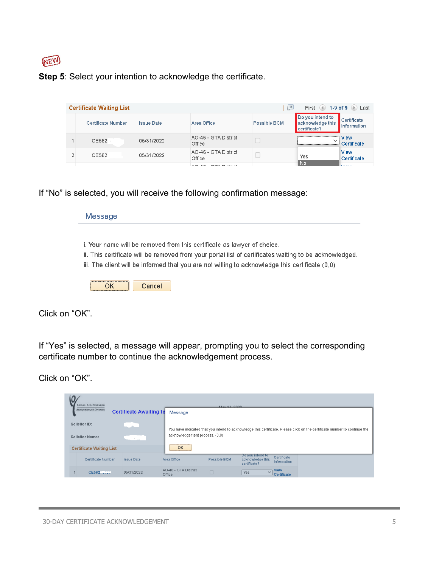

### **Step 5**: Select your intention to acknowledge the certificate.

| <b>Certificate Waiting List</b> |                   |                                      | 린            | First                                                | 4 1-9 of 9 D Last          |
|---------------------------------|-------------------|--------------------------------------|--------------|------------------------------------------------------|----------------------------|
| Certificate Number              | <b>Issue Date</b> | Area Office                          | Possible BCM | Do you intend to<br>acknowledge this<br>certificate? | Certificate<br>Information |
| CE562                           | 05/31/2022        | AO-46 - GTA District<br>Office       |              | $\checkmark$                                         | View<br>Certificate        |
| CE562                           | 05/31/2022        | AO-46 - GTA District<br>Office       |              | Yes                                                  | <b>View</b><br>Certificate |
|                                 |                   | <b>CONSTRUCTION</b><br>. .<br>$\sim$ |              | No                                                   | <b>Signal</b>              |

If "No" is selected, you will receive the following confirmation message:

| i. Your name will be removed from this certificate as lawyer of choice.                                |
|--------------------------------------------------------------------------------------------------------|
| ii. This certificate will be removed from your portal list of certificates waiting to be acknowledged. |
| iii. The client will be informed that you are not willing to acknowledge this certificate (0,0)        |

Click on "OK".

If "Yes" is selected, a message will appear, prompting you to select the corresponding certificate number to continue the acknowledgement process.

Click on "OK".

| LEGAL AID ONTARIO               |                                |                                | May 21, 2022 |                                                      |                                   |                                                                                                                            |
|---------------------------------|--------------------------------|--------------------------------|--------------|------------------------------------------------------|-----------------------------------|----------------------------------------------------------------------------------------------------------------------------|
| <b>AIDE JURIDIQUE ONTARIO</b>   | <b>Certificate Awaiting to</b> | Message                        |              |                                                      |                                   |                                                                                                                            |
| Solicitor ID:                   | <b>COLL</b>                    |                                |              |                                                      |                                   | You have indicated that you intend to acknowledge this certificate. Please click on the certificate number to continue the |
| <b>Solicitor Name:</b>          |                                | acknowledgement process. (0,0) |              |                                                      |                                   |                                                                                                                            |
| <b>Certificate Waiting List</b> |                                | OK                             |              |                                                      |                                   |                                                                                                                            |
| Certificate Number              | <b>Issue Date</b>              | Area Office                    | Possible BCM | Do you intend to<br>acknowledge this<br>certificate? | Certificate<br><b>Information</b> |                                                                                                                            |
| CE5627.757                      | 05/31/2022                     | AO-46 - GTA District<br>Office | $\Box$       | Yes<br>$\checkmark$                                  | View<br>Certificate               |                                                                                                                            |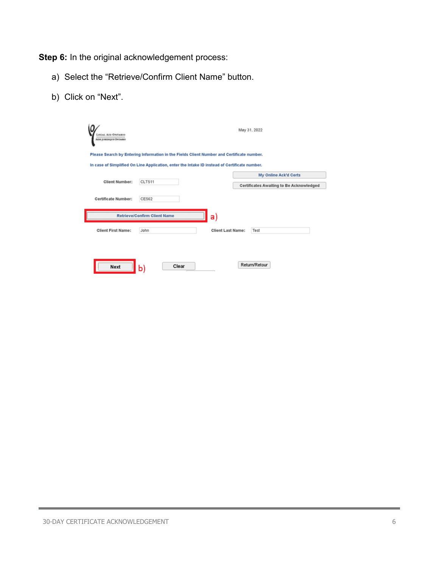**Step 6:** In the original acknowledgement process:

- a) Select the "Retrieve/Confirm Client Name" button.
- b) Click on "Next".

| <b>LEGAL AID ONTARIO</b><br>Апи: угаширет: Окталио |                                                                                               | May 31, 2022                             |
|----------------------------------------------------|-----------------------------------------------------------------------------------------------|------------------------------------------|
|                                                    | Please Search by Entering Information in the Fields Client Number and Certificate number.     |                                          |
|                                                    | In case of Simplified On Line Application, enter the Intake ID instead of Certificate number. |                                          |
|                                                    |                                                                                               | My Online Ack'd Certs                    |
| <b>Client Number:</b>                              | CLT511                                                                                        | Certificates Awaiting to Be Acknowledged |
| Certificate Number:                                | CE562                                                                                         |                                          |
|                                                    | <b>Retrieve/Confirm Client Name</b><br>a)                                                     |                                          |
| <b>Client First Name:</b>                          | John                                                                                          | <b>Client Last Name:</b><br>Test         |
|                                                    |                                                                                               |                                          |
|                                                    |                                                                                               |                                          |
| Next                                               | Clear<br>b)                                                                                   | Return/Retour                            |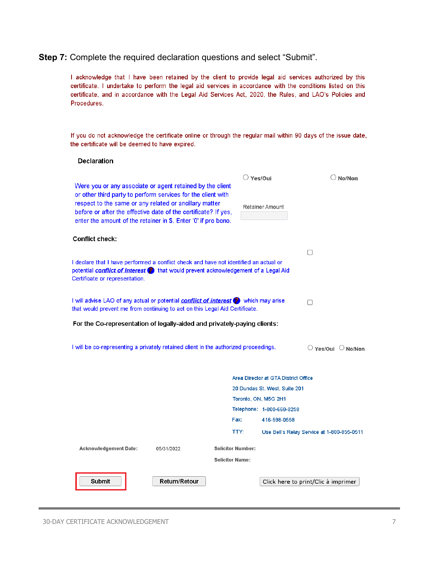### **Step 7:** Complete the required declaration questions and select "Submit".

I acknowledge that I have been retained by the client to provide legal aid services authorized by this certificate. I undertake to perform the legal aid services in accordance with the conditions listed on this certificate, and in accordance with the Legal Aid Services Act, 2020, the Rules, and LAO's Policies and Procedures.

If you do not acknowledge the certificate online or through the regular mail within 90 days of the issue date, the certificate will be deemed to have expired.

### **Declaration**

|                                                                                                                                                                                                                                                                                                                         |            |                          | $\cup$ Yes/Oui                       | No/Non                                                 |
|-------------------------------------------------------------------------------------------------------------------------------------------------------------------------------------------------------------------------------------------------------------------------------------------------------------------------|------------|--------------------------|--------------------------------------|--------------------------------------------------------|
| Were you or any associate or agent retained by the client<br>or other third party to perform services for the client with<br>respect to the same or any related or ancillary matter<br>before or after the effective date of the certificate? If yes,<br>enter the amount of the retainer in \$. Enter '0' if pro bono. |            |                          | <b>Retainer Amount</b>               |                                                        |
| Conflict check:                                                                                                                                                                                                                                                                                                         |            |                          |                                      |                                                        |
|                                                                                                                                                                                                                                                                                                                         |            |                          |                                      |                                                        |
| I declare that I have performed a conflict check and have not identified an actual or<br>potential <b>conflict of interest</b> > that would prevent acknowledgement of a Legal Aid<br>Certificate or representation.                                                                                                    |            |                          |                                      |                                                        |
| I will advise LAO of any actual or potential <b>conflict of interest</b> (2) which may arise<br>that would prevent me from continuing to act on this Legal Aid Certificate.                                                                                                                                             |            |                          |                                      | П                                                      |
| For the Co-representation of legally-aided and privately-paying clients:                                                                                                                                                                                                                                                |            |                          |                                      |                                                        |
| I will be co-representing a privately retained client in the authorized proceedings.                                                                                                                                                                                                                                    |            |                          |                                      | $\circlearrowright$ Yes/Oui $\circlearrowright$ No/Non |
|                                                                                                                                                                                                                                                                                                                         |            |                          | Area Director at GTA District Office |                                                        |
|                                                                                                                                                                                                                                                                                                                         |            |                          | 20 Dundas St. West, Suite 201        |                                                        |
|                                                                                                                                                                                                                                                                                                                         |            |                          | Toronto, ON, M5G 2H1                 |                                                        |
|                                                                                                                                                                                                                                                                                                                         |            |                          | Telephone: 1-800-668-8258            |                                                        |
|                                                                                                                                                                                                                                                                                                                         |            | Fax:                     | 416-598-0558                         |                                                        |
|                                                                                                                                                                                                                                                                                                                         |            | TTY:                     |                                      | Use Bell's Relay Service at 1-800-855-0511             |
| <b>Acknowledgement Date:</b>                                                                                                                                                                                                                                                                                            | 05/31/2022 | <b>Solicitor Number:</b> |                                      |                                                        |
|                                                                                                                                                                                                                                                                                                                         |            |                          |                                      |                                                        |
|                                                                                                                                                                                                                                                                                                                         |            | <b>Solicitor Name:</b>   |                                      |                                                        |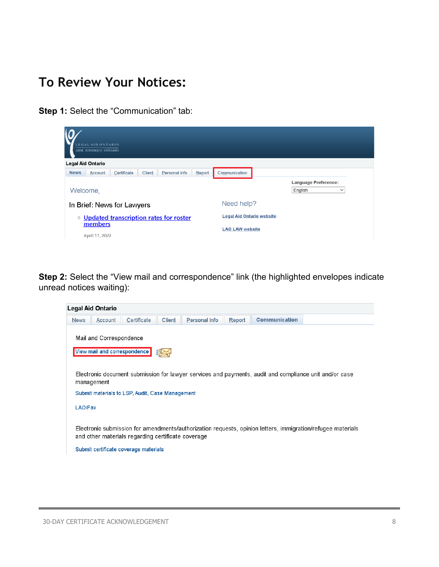## **To Review Your Notices:**

**Step 1: Select the "Communication" tab:** 

|             | LEGAL AID ONTARIO<br>AIDE JURIDIQUE ONTARIO<br><b>Legal Aid Ontario</b> |                            |        |                                          |        |                                  |                                                        |
|-------------|-------------------------------------------------------------------------|----------------------------|--------|------------------------------------------|--------|----------------------------------|--------------------------------------------------------|
| <b>News</b> | Account                                                                 | Certificate                | Client | Personal Info                            | Report | Communication                    |                                                        |
| Welcome,    |                                                                         |                            |        |                                          |        |                                  | <b>Language Preference:</b><br>English<br>$\checkmark$ |
|             |                                                                         | In Brief: News for Lawyers |        |                                          |        | Need help?                       |                                                        |
|             |                                                                         |                            |        | o Updated transcription rates for roster |        | <b>Legal Aid Ontario website</b> |                                                        |
|             | members<br>April 11, 2022                                               |                            |        |                                          |        | <b>LAO LAW website</b>           |                                                        |
|             |                                                                         |                            |        |                                          |        |                                  |                                                        |

**Step 2:** Select the "View mail and correspondence" link (the highlighted envelopes indicate unread notices waiting):

|             | Legal Aid Ontario                                                                                                    |                                                                                             |        |               |        |                      |                                                                                                             |  |  |  |  |  |
|-------------|----------------------------------------------------------------------------------------------------------------------|---------------------------------------------------------------------------------------------|--------|---------------|--------|----------------------|-------------------------------------------------------------------------------------------------------------|--|--|--|--|--|
| <b>News</b> | Account                                                                                                              | Certificate                                                                                 | Client | Personal Info | Report | <b>Communication</b> |                                                                                                             |  |  |  |  |  |
|             | Mail and Correspondence<br>View mail and correspondence                                                              |                                                                                             |        |               |        |                      |                                                                                                             |  |  |  |  |  |
|             | Electronic document submission for lawyer services and payments, audit and compliance unit and/or case<br>management |                                                                                             |        |               |        |                      |                                                                                                             |  |  |  |  |  |
|             | Submit materials to LSP, Audit, Case Management                                                                      |                                                                                             |        |               |        |                      |                                                                                                             |  |  |  |  |  |
| LAOIFax     |                                                                                                                      |                                                                                             |        |               |        |                      |                                                                                                             |  |  |  |  |  |
|             |                                                                                                                      | and other materials regarding certificate coverage<br>Submit certificate coverage materials |        |               |        |                      | Electronic submission for amendments/authorization requests, opinion letters, immigration/refugee materials |  |  |  |  |  |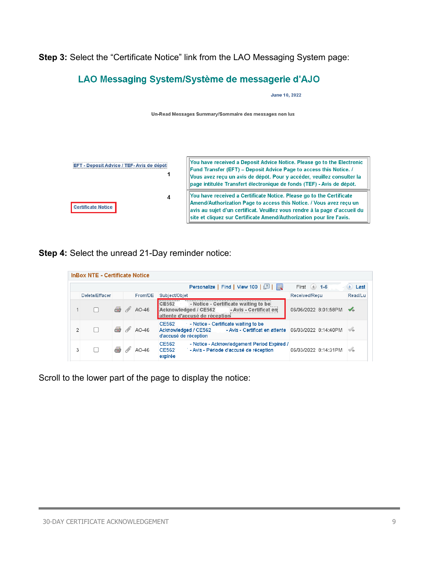**Step 3:** Select the "Certificate Notice" link from the LAO Messaging System page:

### LAO Messaging System/Système de messagerie d'AJO

**June 10, 2022** 

Un-Read Messages Summary/Sommaire des messages non lus



**Step 4:** Select the unread 21-Day reminder notice:

|   |                |     |   |         | Personalize   Find   View 100                                                                                                                      | First $(4)$ 1-6      | Last           |
|---|----------------|-----|---|---------|----------------------------------------------------------------------------------------------------------------------------------------------------|----------------------|----------------|
|   | Delete/Effacer |     |   | From/DE | <b>Subject/Objet</b>                                                                                                                               | Received/Recu        | <b>Read/Lu</b> |
|   |                | & / |   | AO-46   | - Notice - Certificate waiting to be<br>CE562<br>Acknowledged / CE562 - Avis - Certificat en<br>attente d'accusé de réception                      | 06/06/2022 8:01:58PM | $\sqrt{2}$     |
|   | $\Box$         |     | M | AO-46   | CE562 - Notice - Certificate waiting to be<br>- Avis - Certificat en attente 06/03/2022 8:14:40PM<br>Acknowledged / CE562<br>d'accusé de réception |                      | Ar             |
| 3 |                |     |   | AO-46   | - Notice - Acknowledgement Period Expired /<br><b>CE562</b><br>- Avis - Période d'accusé de réception<br><b>CE562</b><br>expirée                   | 06/03/2022 8:14:31PM |                |

Scroll to the lower part of the page to display the notice: